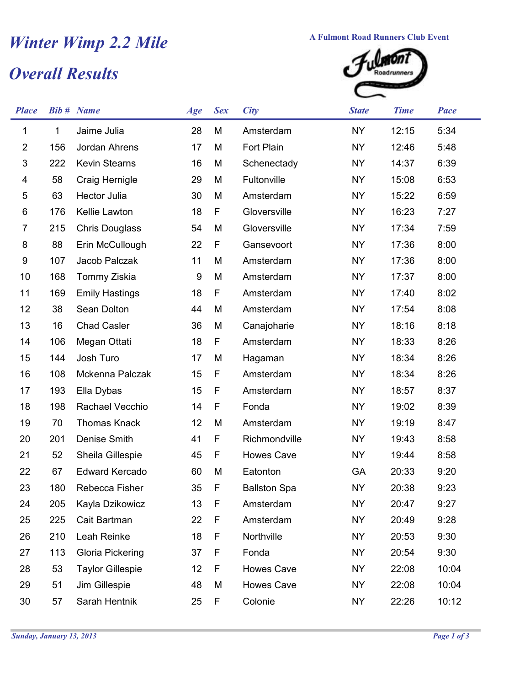## *Overall Results Winter Wimp 2.2 Mile* **A Fulmont Road Runners Club Event**<br> *Overall Results*



| <b>Place</b>              |     | <b>Bib #</b> Name       | Age | <b>Sex</b> | <b>City</b>         | <b>State</b> | <b>Time</b> | <b>Pace</b> |
|---------------------------|-----|-------------------------|-----|------------|---------------------|--------------|-------------|-------------|
| 1                         | 1   | Jaime Julia             | 28  | M          | Amsterdam           | <b>NY</b>    | 12:15       | 5:34        |
| $\overline{2}$            | 156 | Jordan Ahrens           | 17  | M          | Fort Plain          | <b>NY</b>    | 12:46       | 5:48        |
| $\ensuremath{\mathsf{3}}$ | 222 | <b>Kevin Stearns</b>    | 16  | M          | Schenectady         | <b>NY</b>    | 14:37       | 6:39        |
| 4                         | 58  | Craig Hernigle          | 29  | M          | Fultonville         | <b>NY</b>    | 15:08       | 6:53        |
| 5                         | 63  | <b>Hector Julia</b>     | 30  | M          | Amsterdam           | <b>NY</b>    | 15:22       | 6:59        |
| 6                         | 176 | Kellie Lawton           | 18  | F          | Gloversville        | <b>NY</b>    | 16:23       | 7:27        |
| 7                         | 215 | <b>Chris Douglass</b>   | 54  | M          | Gloversville        | <b>NY</b>    | 17:34       | 7:59        |
| 8                         | 88  | Erin McCullough         | 22  | F          | Gansevoort          | <b>NY</b>    | 17:36       | 8:00        |
| 9                         | 107 | Jacob Palczak           | 11  | M          | Amsterdam           | <b>NY</b>    | 17:36       | 8:00        |
| 10                        | 168 | Tommy Ziskia            | 9   | M          | Amsterdam           | <b>NY</b>    | 17:37       | 8:00        |
| 11                        | 169 | <b>Emily Hastings</b>   | 18  | F          | Amsterdam           | <b>NY</b>    | 17:40       | 8:02        |
| 12                        | 38  | Sean Dolton             | 44  | M          | Amsterdam           | <b>NY</b>    | 17:54       | 8:08        |
| 13                        | 16  | <b>Chad Casler</b>      | 36  | M          | Canajoharie         | <b>NY</b>    | 18:16       | 8:18        |
| 14                        | 106 | Megan Ottati            | 18  | F          | Amsterdam           | <b>NY</b>    | 18:33       | 8:26        |
| 15                        | 144 | Josh Turo               | 17  | M          | Hagaman             | <b>NY</b>    | 18:34       | 8:26        |
| 16                        | 108 | Mckenna Palczak         | 15  | F          | Amsterdam           | <b>NY</b>    | 18:34       | 8:26        |
| 17                        | 193 | Ella Dybas              | 15  | F          | Amsterdam           | <b>NY</b>    | 18:57       | 8:37        |
| 18                        | 198 | Rachael Vecchio         | 14  | F          | Fonda               | <b>NY</b>    | 19:02       | 8:39        |
| 19                        | 70  | <b>Thomas Knack</b>     | 12  | M          | Amsterdam           | <b>NY</b>    | 19:19       | 8:47        |
| 20                        | 201 | Denise Smith            | 41  | F          | Richmondville       | <b>NY</b>    | 19:43       | 8:58        |
| 21                        | 52  | Sheila Gillespie        | 45  | F          | <b>Howes Cave</b>   | <b>NY</b>    | 19:44       | 8:58        |
| 22                        | 67  | <b>Edward Kercado</b>   | 60  | M          | Eatonton            | GA           | 20:33       | 9:20        |
| 23                        | 180 | Rebecca Fisher          | 35  | F          | <b>Ballston Spa</b> | <b>NY</b>    | 20:38       | 9:23        |
| 24                        | 205 | Kayla Dzikowicz         | 13  | F          | Amsterdam           | <b>NY</b>    | 20:47       | 9:27        |
| 25                        | 225 | Cait Bartman            | 22  | F          | Amsterdam           | <b>NY</b>    | 20:49       | 9:28        |
| 26                        | 210 | Leah Reinke             | 18  | F          | Northville          | <b>NY</b>    | 20:53       | 9:30        |
| 27                        | 113 | Gloria Pickering        | 37  | F          | Fonda               | <b>NY</b>    | 20:54       | 9:30        |
| 28                        | 53  | <b>Taylor Gillespie</b> | 12  | F          | <b>Howes Cave</b>   | NY           | 22:08       | 10:04       |
| 29                        | 51  | Jim Gillespie           | 48  | M          | Howes Cave          | <b>NY</b>    | 22:08       | 10:04       |
| 30                        | 57  | Sarah Hentnik           | 25  | F          | Colonie             | <b>NY</b>    | 22:26       | 10:12       |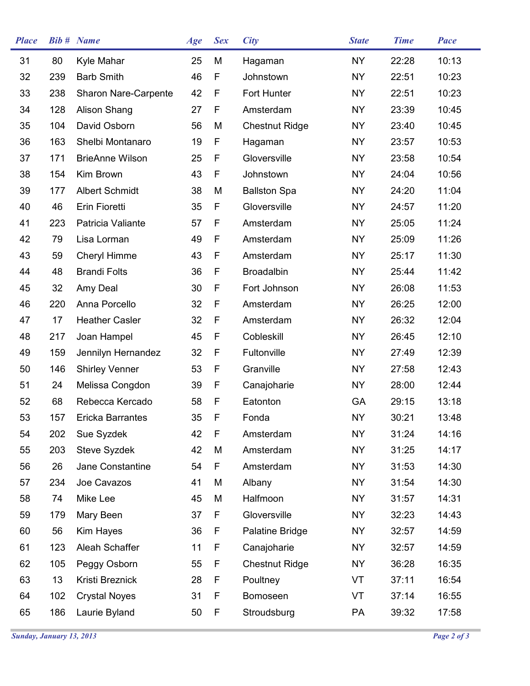| <b>Place</b> |     | <b>Bib #</b> Name           | Age | <b>Sex</b> | <b>City</b>           | <b>State</b> | <b>Time</b> | <b>Pace</b> |
|--------------|-----|-----------------------------|-----|------------|-----------------------|--------------|-------------|-------------|
| 31           | 80  | Kyle Mahar                  | 25  | M          | Hagaman               | <b>NY</b>    | 22:28       | 10:13       |
| 32           | 239 | <b>Barb Smith</b>           | 46  | F          | Johnstown             | <b>NY</b>    | 22:51       | 10:23       |
| 33           | 238 | <b>Sharon Nare-Carpente</b> | 42  | F          | Fort Hunter           | <b>NY</b>    | 22:51       | 10:23       |
| 34           | 128 | Alison Shang                | 27  | F          | Amsterdam             | <b>NY</b>    | 23:39       | 10:45       |
| 35           | 104 | David Osborn                | 56  | M          | <b>Chestnut Ridge</b> | <b>NY</b>    | 23:40       | 10:45       |
| 36           | 163 | Shelbi Montanaro            | 19  | F          | Hagaman               | <b>NY</b>    | 23:57       | 10:53       |
| 37           | 171 | <b>BrieAnne Wilson</b>      | 25  | F          | Gloversville          | <b>NY</b>    | 23:58       | 10:54       |
| 38           | 154 | Kim Brown                   | 43  | F          | Johnstown             | <b>NY</b>    | 24:04       | 10:56       |
| 39           | 177 | <b>Albert Schmidt</b>       | 38  | M          | <b>Ballston Spa</b>   | <b>NY</b>    | 24:20       | 11:04       |
| 40           | 46  | Erin Fioretti               | 35  | F          | Gloversville          | <b>NY</b>    | 24:57       | 11:20       |
| 41           | 223 | Patricia Valiante           | 57  | F          | Amsterdam             | <b>NY</b>    | 25:05       | 11:24       |
| 42           | 79  | Lisa Lorman                 | 49  | F          | Amsterdam             | <b>NY</b>    | 25:09       | 11:26       |
| 43           | 59  | Cheryl Himme                | 43  | F          | Amsterdam             | <b>NY</b>    | 25:17       | 11:30       |
| 44           | 48  | <b>Brandi Folts</b>         | 36  | F          | <b>Broadalbin</b>     | <b>NY</b>    | 25:44       | 11:42       |
| 45           | 32  | Amy Deal                    | 30  | F          | Fort Johnson          | <b>NY</b>    | 26:08       | 11:53       |
| 46           | 220 | Anna Porcello               | 32  | F          | Amsterdam             | <b>NY</b>    | 26:25       | 12:00       |
| 47           | 17  | <b>Heather Casler</b>       | 32  | F          | Amsterdam             | <b>NY</b>    | 26:32       | 12:04       |
| 48           | 217 | Joan Hampel                 | 45  | F          | Cobleskill            | <b>NY</b>    | 26:45       | 12:10       |
| 49           | 159 | Jennilyn Hernandez          | 32  | F          | Fultonville           | <b>NY</b>    | 27:49       | 12:39       |
| 50           | 146 | <b>Shirley Venner</b>       | 53  | F          | Granville             | <b>NY</b>    | 27:58       | 12:43       |
| 51           | 24  | Melissa Congdon             | 39  | F          | Canajoharie           | NY           | 28:00       | 12:44       |
| 52           | 68  | Rebecca Kercado             | 58  | F          | Eatonton              | GA           | 29:15       | 13:18       |
| 53           | 157 | Ericka Barrantes            | 35  | F          | Fonda                 | <b>NY</b>    | 30:21       | 13:48       |
| 54           | 202 | Sue Syzdek                  | 42  | F          | Amsterdam             | <b>NY</b>    | 31:24       | 14:16       |
| 55           | 203 | Steve Syzdek                | 42  | M          | Amsterdam             | NY           | 31:25       | 14:17       |
| 56           | 26  | Jane Constantine            | 54  | F          | Amsterdam             | NY           | 31:53       | 14:30       |
| 57           | 234 | Joe Cavazos                 | 41  | M          | Albany                | <b>NY</b>    | 31:54       | 14:30       |
| 58           | 74  | Mike Lee                    | 45  | M          | Halfmoon              | <b>NY</b>    | 31:57       | 14:31       |
| 59           | 179 | Mary Been                   | 37  | F          | Gloversville          | <b>NY</b>    | 32:23       | 14:43       |
| 60           | 56  | Kim Hayes                   | 36  | F          | Palatine Bridge       | <b>NY</b>    | 32:57       | 14:59       |
| 61           | 123 | Aleah Schaffer              | 11  | F          | Canajoharie           | <b>NY</b>    | 32:57       | 14:59       |
| 62           | 105 | Peggy Osborn                | 55  | F          | <b>Chestnut Ridge</b> | <b>NY</b>    | 36:28       | 16:35       |
| 63           | 13  | Kristi Breznick             | 28  | F          | Poultney              | VT           | 37:11       | 16:54       |
| 64           | 102 | <b>Crystal Noyes</b>        | 31  | F          | Bomoseen              | VT           | 37:14       | 16:55       |
| 65           | 186 | Laurie Byland               | 50  | F          | Stroudsburg           | PA           | 39:32       | 17:58       |